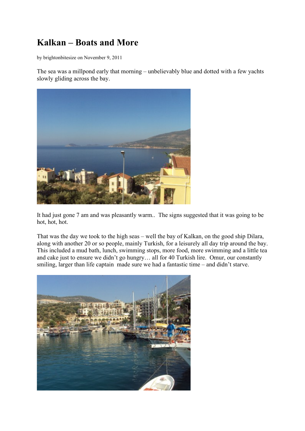## **Kalkan – Boats and More**

by brightonbitesize on November 9, 2011

The sea was a millpond early that morning – unbelievably blue and dotted with a few yachts slowly gliding across the bay.



It had just gone 7 am and was pleasantly warm.. The signs suggested that it was going to be hot, hot, hot.

That was the day we took to the high seas – well the bay of Kalkan, on the good ship Dilara, along with another 20 or so people, mainly Turkish, for a leisurely all day trip around the bay. This included a mud bath, lunch, swimming stops, more food, more swimming and a little tea and cake just to ensure we didn't go hungry… all for 40 Turkish lire. Omur, our constantly smiling, larger than life captain made sure we had a fantastic time – and didn't starve.

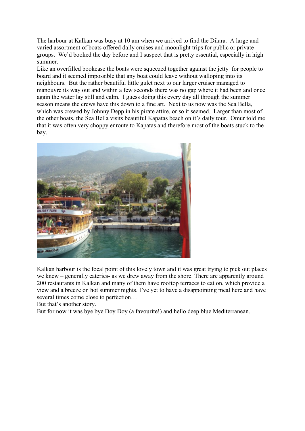The harbour at Kalkan was busy at 10 am when we arrived to find the Dilara. A large and varied assortment of boats offered daily cruises and moonlight trips for public or private groups. We'd booked the day before and I suspect that is pretty essential, especially in high summer.

Like an overfilled bookcase the boats were squeezed together against the jetty for people to board and it seemed impossible that any boat could leave without walloping into its neighbours. But the rather beautiful little gulet next to our larger cruiser managed to manouvre its way out and within a few seconds there was no gap where it had been and once again the water lay still and calm. I guess doing this every day all through the summer season means the crews have this down to a fine art. Next to us now was the Sea Bella, which was crewed by Johnny Depp in his pirate attire, or so it seemed. Larger than most of the other boats, the Sea Bella visits beautiful Kapatas beach on it's daily tour. Omur told me that it was often very choppy enroute to Kapatas and therefore most of the boats stuck to the bay.



Kalkan harbour is the focal point of this lovely town and it was great trying to pick out places we knew – generally eateries- as we drew away from the shore. There are apparently around 200 restaurants in Kalkan and many of them have rooftop terraces to eat on, which provide a view and a breeze on hot summer nights. I've yet to have a disappointing meal here and have several times come close to perfection…

But that's another story.

But for now it was bye bye Doy Doy (a favourite!) and hello deep blue Mediterranean.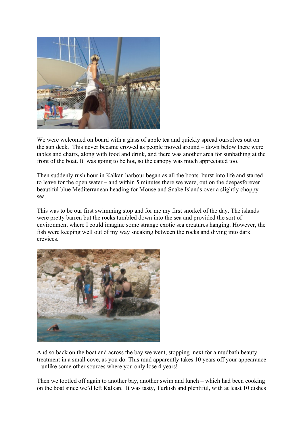

We were welcomed on board with a glass of apple tea and quickly spread ourselves out on the sun deck. This never became crowed as people moved around – down below there were tables and chairs, along with food and drink, and there was another area for sunbathing at the front of the boat. It was going to be hot, so the canopy was much appreciated too.

Then suddenly rush hour in Kalkan harbour began as all the boats burst into life and started to leave for the open water – and within 5 minutes there we were, out on the deepasforever beautiful blue Mediterranean heading for Mouse and Snake Islands over a slightly choppy sea.

This was to be our first swimming stop and for me my first snorkel of the day. The islands were pretty barren but the rocks tumbled down into the sea and provided the sort of environment where I could imagine some strange exotic sea creatures hanging. However, the fish were keeping well out of my way sneaking between the rocks and diving into dark crevices.



And so back on the boat and across the bay we went, stopping next for a mudbath beauty treatment in a small cove, as you do. This mud apparently takes 10 years off your appearance – unlike some other sources where you only lose 4 years!

Then we tootled off again to another bay, another swim and lunch – which had been cooking on the boat since we'd left Kalkan. It was tasty, Turkish and plentiful, with at least 10 dishes